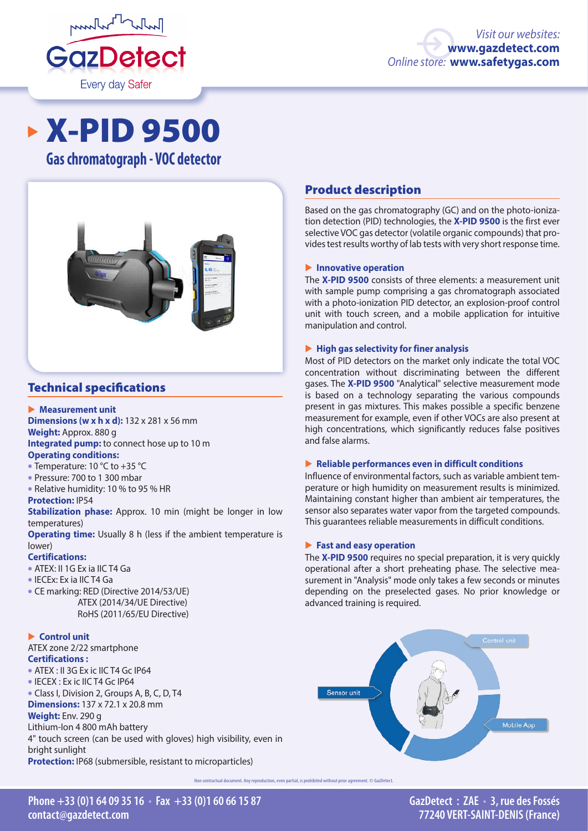

# X-PID 9500

**Gas chromatograph - VOC detector**



# Technical specifications

## � **Measurement unit**

**Dimensions (w x h x d):** 132 x 281 x 56 mm

### **Weight:** Approx. 880 g

**Integrated pump:** to connect hose up to 10 m

# **Operating conditions:**

- Temperature: 10 °C to +35 °C
- Pressure: 700 to 1 300 mbar
- Relative humidity: 10 % to 95 % HR

## **Protection:** IP54

**Stabilization phase:** Approx. 10 min (might be longer in low temperatures)

**Operating time:** Usually 8 h (less if the ambient temperature is lower)

## **Certifications:**

- ATEX: II 1G Ex ia IIC T4 Ga
- IECEx: Ex ia IIC T4 Ga
- CE marking: RED (Directive 2014/53/UE) ATEX (2014/34/UE Directive) RoHS (2011/65/EU Directive)

# ▶ **Control unit**

ATEX zone 2/22 smartphone **Certifications :**  • ATEX : II 3G Ex ic IIC T4 Gc IP64 • IECEX : Ex ic IIC T4 Gc IP64 • Class I, Division 2, Groups A, B, C, D, T4 **Dimensions:** 137 x 72.1 x 20.8 mm **Weight:** Env. 290 g Lithium-Ion 4 800 mAh battery 4" touch screen (can be used with gloves) high visibility, even in bright sunlight **Protection:** IP68 (submersible, resistant to microparticles)

# Product description

Based on the gas chromatography (GC) and on the photo-ionization detection (PID) technologies, the **X-PID 9500** is the first ever selective VOC gas detector (volatile organic compounds) that provides test results worthy of lab tests with very short response time.

## � **Innovative operation**

The **X-PID 9500** consists of three elements: a measurement unit with sample pump comprising a gas chromatograph associated with a photo-ionization PID detector, an explosion-proof control unit with touch screen, and a mobile application for intuitive manipulation and control.

## � **High gas selectivity for finer analysis**

Most of PID detectors on the market only indicate the total VOC concentration without discriminating between the different gases. The **X-PID 9500** "Analytical" selective measurement mode is based on a technology separating the various compounds present in gas mixtures. This makes possible a specific benzene measurement for example, even if other VOCs are also present at high concentrations, which significantly reduces false positives and false alarms.

## � **Reliable performances even in difficult conditions**

Influence of environmental factors, such as variable ambient temperature or high humidity on measurement results is minimized. Maintaining constant higher than ambient air temperatures, the sensor also separates water vapor from the targeted compounds. This guarantees reliable measurements in difficult conditions.

## � **Fast and easy operation**

The **X-PID 9500** requires no special preparation, it is very quickly operational after a short preheating phase. The selective measurement in "Analysis" mode only takes a few seconds or minutes depending on the preselected gases. No prior knowledge or advanced training is required.



contractual document. Any reproduction, even partial, is prohibited without prior agreement. © GazDetect